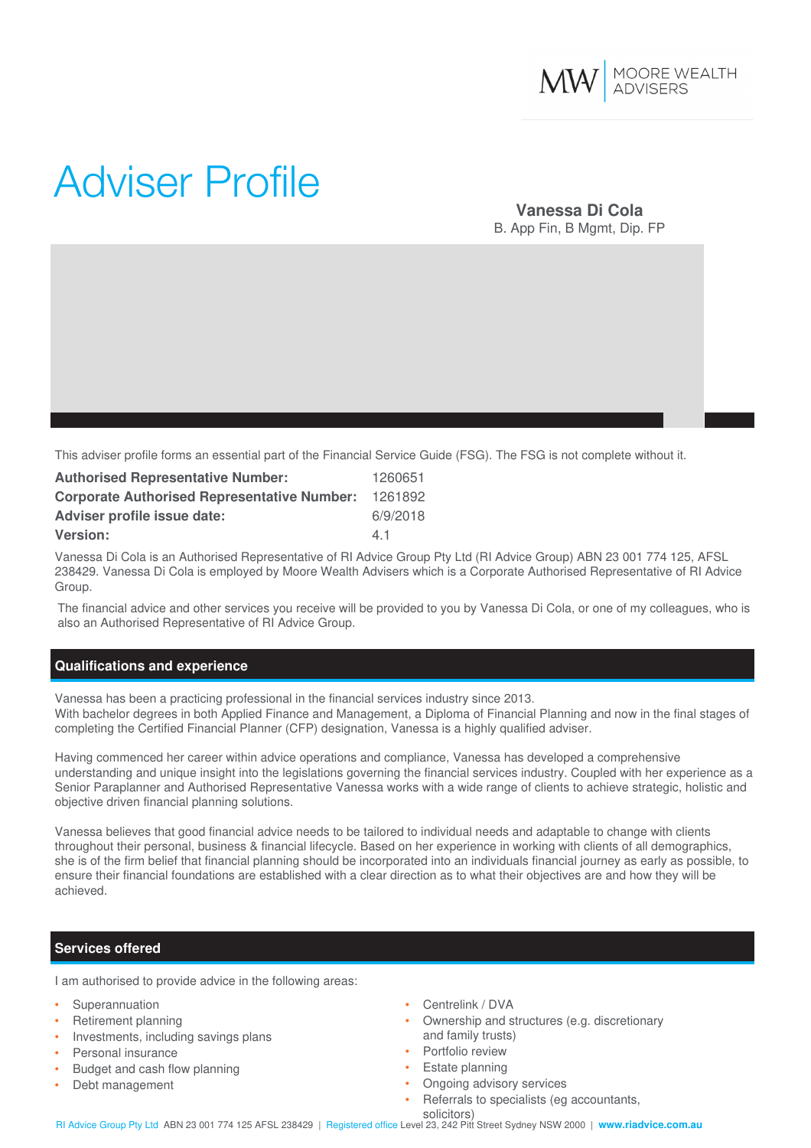

# Adviser Profile

## **Vanessa Di Cola** B. App Fin, B Mgmt, Dip. FP

This adviser profile forms an essential part of the Financial Service Guide (FSG). The FSG is not complete without it.

| <b>Authorised Representative Number:</b>           | 1260651  |
|----------------------------------------------------|----------|
| <b>Corporate Authorised Representative Number:</b> | 1261892  |
| Adviser profile issue date:                        | 6/9/2018 |
| <b>Version:</b>                                    | 41       |

Vanessa Di Cola is an Authorised Representative of RI Advice Group Pty Ltd (RI Advice Group) ABN 23 001 774 125, AFSL 238429. Vanessa Di Cola is employed by Moore Wealth Advisers which is a Corporate Authorised Representative of RI Advice Group.

The financial advice and other services you receive will be provided to you by Vanessa Di Cola, or one of my colleagues, who is also an Authorised Representative of RI Advice Group.

### **Qualifications and experience**

Vanessa has been a practicing professional in the financial services industry since 2013. With bachelor degrees in both Applied Finance and Management, a Diploma of Financial Planning and now in the final stages of completing the Certified Financial Planner (CFP) designation, Vanessa is a highly qualified adviser.

Having commenced her career within advice operations and compliance, Vanessa has developed a comprehensive understanding and unique insight into the legislations governing the financial services industry. Coupled with her experience as a Senior Paraplanner and Authorised Representative Vanessa works with a wide range of clients to achieve strategic, holistic and objective driven financial planning solutions.

Vanessa believes that good financial advice needs to be tailored to individual needs and adaptable to change with clients throughout their personal, business & financial lifecycle. Based on her experience in working with clients of all demographics, she is of the firm belief that financial planning should be incorporated into an individuals financial journey as early as possible, to ensure their financial foundations are established with a clear direction as to what their objectives are and how they will be achieved.

### **Services offered**

I am authorised to provide advice in the following areas:

- **Superannuation**
- Retirement planning
- Investments, including savings plans
- Personal insurance
- Budget and cash flow planning
- Debt management
- Centrelink / DVA
- Ownership and structures (e.g. discretionary and family trusts)
- Portfolio review
- Estate planning
- Ongoing advisory services
- Referrals to specialists (eg accountants,

solicitors) RI Advice Group Pty Ltd ABN 23 001 774 125 AFSL 238429 | Registered office Level 23, 242 Pitt Street Sydney NSW 2000 | **www.riadvice.com.au**